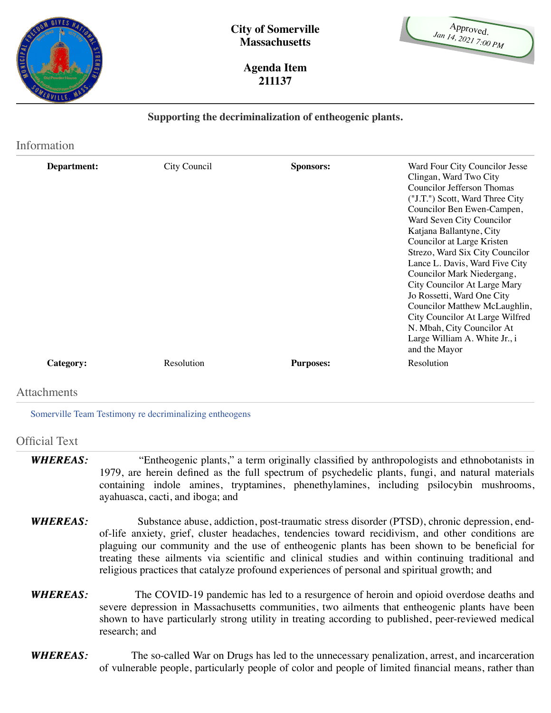

| Approved.            |  |
|----------------------|--|
| Jan 14, 2021 7:00 PM |  |
|                      |  |
|                      |  |

**Agenda Item 211137**

## **Supporting the decriminalization of entheogenic plants.**

| City Council | <b>Sponsors:</b> | Ward Four City Councilor Jesse<br>Clingan, Ward Two City<br>Councilor Jefferson Thomas<br>("J.T.") Scott, Ward Three City<br>Councilor Ben Ewen-Campen,<br>Ward Seven City Councilor<br>Katjana Ballantyne, City<br>Councilor at Large Kristen<br>Strezo, Ward Six City Councilor<br>Lance L. Davis, Ward Five City<br>Councilor Mark Niedergang,<br>City Councilor At Large Mary<br>Jo Rossetti, Ward One City<br>Councilor Matthew McLaughlin,<br>City Councilor At Large Wilfred<br>N. Mbah, City Councilor At<br>Large William A. White Jr., i<br>and the Mayor |
|--------------|------------------|---------------------------------------------------------------------------------------------------------------------------------------------------------------------------------------------------------------------------------------------------------------------------------------------------------------------------------------------------------------------------------------------------------------------------------------------------------------------------------------------------------------------------------------------------------------------|
| Resolution   | <b>Purposes:</b> | Resolution                                                                                                                                                                                                                                                                                                                                                                                                                                                                                                                                                          |
|              |                  |                                                                                                                                                                                                                                                                                                                                                                                                                                                                                                                                                                     |
|              |                  |                                                                                                                                                                                                                                                                                                                                                                                                                                                                                                                                                                     |

[Somerville Team Testimony re decriminalizing entheogens](http://somervillecityma.iqm2.com/Citizens/FileOpen.aspx?Type=4&ID=14630)

## Official Text

- *WHEREAS: WHEREAS:* "Entheogenic plants," a term originally classified by anthropologists and ethnobotanists in 1979, are herein defined as the full spectrum of psychedelic plants, fungi, and natural materials containing indole amines, tryptamines, phenethylamines, including psilocybin mushrooms, ayahuasca, cacti, and iboga; and
- *WHEREAS: WHEREAS:* Substance abuse, addiction, post-traumatic stress disorder (PTSD), chronic depression, endof-life anxiety, grief, cluster headaches, tendencies toward recidivism, and other conditions are plaguing our community and the use of entheogenic plants has been shown to be beneficial for treating these ailments via scientific and clinical studies and within continuing traditional and religious practices that catalyze profound experiences of personal and spiritual growth; and
- *WHEREAS: WHEREAS:*The COVID-19 pandemic has led to a resurgence of heroin and opioid overdose deaths and severe depression in Massachusetts communities, two ailments that entheogenic plants have been shown to have particularly strong utility in treating according to published, peer-reviewed medical research; and
- *WHEREAS: WHEREAS:*The so-called War on Drugs has led to the unnecessary penalization, arrest, and incarceration of vulnerable people, particularly people of color and people of limited financial means, rather than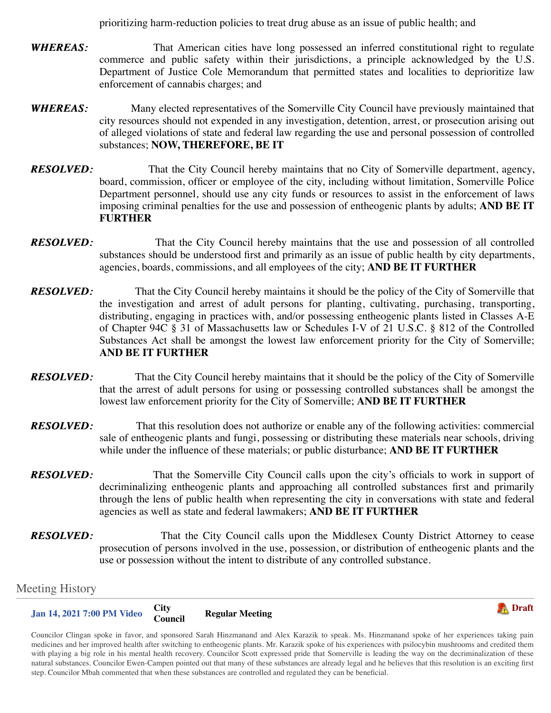prioritizing harm-reduction policies to treat drug abuse as an issue of public health; and

- *WHEREAS: WHEREAS:* That American cities have long possessed an inferred constitutional right to regulate commerce and public safety within their jurisdictions, a principle acknowledged by the U.S. Department of Justice Cole Memorandum that permitted states and localities to deprioritize law enforcement of cannabis charges; and
- *WHEREAS: WHEREAS:* Many elected representatives of the Somerville City Council have previously maintained that city resources should not expended in any investigation, detention, arrest, or prosecution arising out of alleged violations of state and federal law regarding the use and personal possession of controlled substances; **NOW, THEREFORE, BE IT**
- *RESOLVED: RESOLVED:*That the City Council hereby maintains that no City of Somerville department, agency, board, commission, officer or employee of the city, including without limitation, Somerville Police Department personnel, should use any city funds or resources to assist in the enforcement of laws imposing criminal penalties for the use and possession of entheogenic plants by adults; **AND BE IT FURTHER**
- *RESOLVED: RESOLVED:*That the City Council hereby maintains that the use and possession of all controlled substances should be understood first and primarily as an issue of public health by city departments, agencies, boards, commissions, and all employees of the city; **AND BE IT FURTHER**
- *RESOLVED: RESOLVED:*That the City Council hereby maintains it should be the policy of the City of Somerville that the investigation and arrest of adult persons for planting, cultivating, purchasing, transporting, distributing, engaging in practices with, and/or possessing entheogenic plants listed in Classes A-E of Chapter 94C § 31 of Massachusetts law or Schedules I-V of 21 U.S.C. § 812 of the Controlled Substances Act shall be amongst the lowest law enforcement priority for the City of Somerville; **AND BE IT FURTHER**
- *RESOLVED: RESOLVED:*That the City Council hereby maintains that it should be the policy of the City of Somerville that the arrest of adult persons for using or possessing controlled substances shall be amongst the lowest law enforcement priority for the City of Somerville; **AND BE IT FURTHER**
- *RESOLVED: RESOLVED:*That this resolution does not authorize or enable any of the following activities: commercial sale of entheogenic plants and fungi, possessing or distributing these materials near schools, driving while under the influence of these materials; or public disturbance; **AND BE IT FURTHER**
- *RESOLVED: RESOLVED:*That the Somerville City Council calls upon the city's officials to work in support of decriminalizing entheogenic plants and approaching all controlled substances first and primarily through the lens of public health when representing the city in conversations with state and federal agencies as well as state and federal lawmakers; **AND BE IT FURTHER**
- *RESOLVED: RESOLVED:*That the City Council calls upon the Middlesex County District Attorney to cease prosecution of persons involved in the use, possession, or distribution of entheogenic plants and the use or possession without the intent to distribute of any controlled substance.

## Meeting History

**[Jan 14, 2021 7:00 PM](http://somervillecityma.iqm2.com/Citizens/Detail_Meeting.aspx?ID=3289) [Video](javascript:void(0)) City Regular Meeting** 



Councilor Clingan spoke in favor, and sponsored Sarah Hinzmanand and Alex Karazik to speak. Ms. Hinzmanand spoke of her experiences taking pain medicines and her improved health after switching to entheogenic plants. Mr. Karazik spoke of his experiences with psilocybin mushrooms and credited them with playing a big role in his mental health recovery. Councilor Scott expressed pride that Somerville is leading the way on the decriminalization of these natural substances. Councilor Ewen-Campen pointed out that many of these substances are already legal and he believes that this resolution is an exciting first step. Councilor Mbah commented that when these substances are controlled and regulated they can be beneficial.